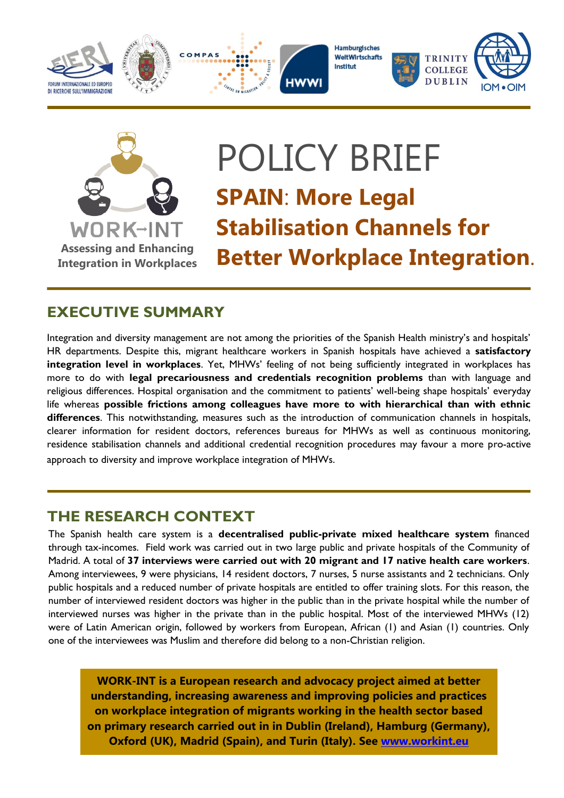





**Hamburgisches WeltWirtschafts** Institut





# POLICY BRIEF **SPAIN**: **More Legal Stabilisation Channels for Better Workplace Integration**.

## **EXECUTIVE SUMMARY**

Integration and diversity management are not among the priorities of the Spanish Health ministry's and hospitals' HR departments. Despite this, migrant healthcare workers in Spanish hospitals have achieved a **satisfactory integration level in workplaces**. Yet, MHWs' feeling of not being sufficiently integrated in workplaces has more to do with **legal precariousness and credentials recognition problems** than with language and religious differences. Hospital organisation and the commitment to patients' well-being shape hospitals' everyday life whereas **possible frictions among colleagues have more to with hierarchical than with ethnic differences**. This notwithstanding, measures such as the introduction of communication channels in hospitals, clearer information for resident doctors, references bureaus for MHWs as well as continuous monitoring, residence stabilisation channels and additional credential recognition procedures may favour a more pro-active approach to diversity and improve workplace integration of MHWs.

## **THE RESEARCH CONTEXT**

The Spanish health care system is a **decentralised public-private mixed healthcare system** financed through tax-incomes. Field work was carried out in two large public and private hospitals of the Community of Madrid. A total of **37 interviews were carried out with 20 migrant and 17 native health care workers**. Among interviewees, 9 were physicians, 14 resident doctors, 7 nurses, 5 nurse assistants and 2 technicians. Only public hospitals and a reduced number of private hospitals are entitled to offer training slots. For this reason, the number of interviewed resident doctors was higher in the public than in the private hospital while the number of interviewed nurses was higher in the private than in the public hospital. Most of the interviewed MHWs (12) were of Latin American origin, followed by workers from European, African (1) and Asian (1) countries. Only one of the interviewees was Muslim and therefore did belong to a non-Christian religion.

**WORK-INT is a European research and advocacy project aimed at better understanding, increasing awareness and improving policies and practices on workplace integration of migrants working in the health sector based on primary research carried out in in Dublin (Ireland), Hamburg (Germany), Oxford (UK), Madrid (Spain), and Turin (Italy). See [www.workint.eu](http://www.work-int.eu/)**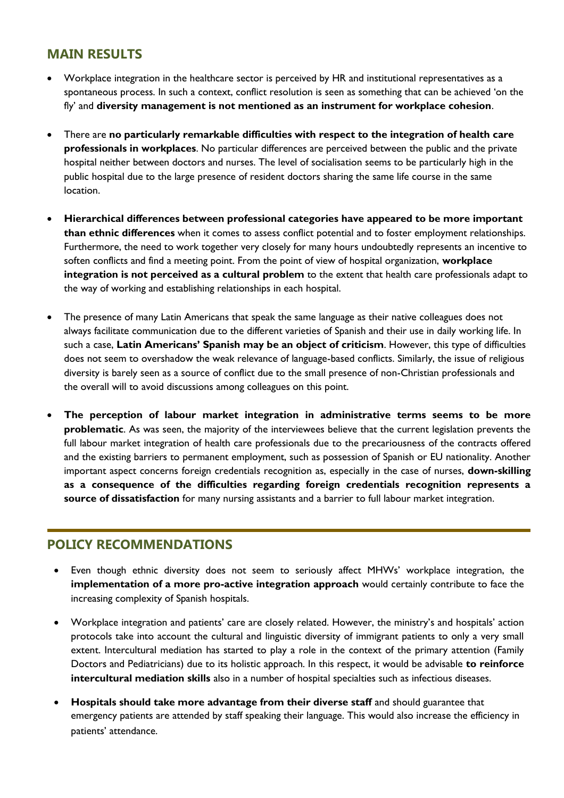#### **MAIN RESULTS**

- Workplace integration in the healthcare sector is perceived by HR and institutional representatives as a spontaneous process. In such a context, conflict resolution is seen as something that can be achieved 'on the fly' and **diversity management is not mentioned as an instrument for workplace cohesion**.
- There are **no particularly remarkable difficulties with respect to the integration of health care professionals in workplaces**. No particular differences are perceived between the public and the private hospital neither between doctors and nurses. The level of socialisation seems to be particularly high in the public hospital due to the large presence of resident doctors sharing the same life course in the same location.
- **Hierarchical differences between professional categories have appeared to be more important than ethnic differences** when it comes to assess conflict potential and to foster employment relationships. Furthermore, the need to work together very closely for many hours undoubtedly represents an incentive to soften conflicts and find a meeting point. From the point of view of hospital organization, **workplace integration is not perceived as a cultural problem** to the extent that health care professionals adapt to the way of working and establishing relationships in each hospital.
- The presence of many Latin Americans that speak the same language as their native colleagues does not always facilitate communication due to the different varieties of Spanish and their use in daily working life. In such a case, **Latin Americans' Spanish may be an object of criticism**. However, this type of difficulties does not seem to overshadow the weak relevance of language-based conflicts. Similarly, the issue of religious diversity is barely seen as a source of conflict due to the small presence of non-Christian professionals and the overall will to avoid discussions among colleagues on this point.
- and the existing barriers to permanent employment, such as possession of Spanish or EU nationality. Another **The perception of labour market integration in administrative terms seems to be more problematic**. As was seen, the majority of the interviewees believe that the current legislation prevents the full labour market integration of health care professionals due to the precariousness of the contracts offered important aspect concerns foreign credentials recognition as, especially in the case of nurses, **down-skilling as a consequence of the difficulties regarding foreign credentials recognition represents a source of dissatisfaction** for many nursing assistants and a barrier to full labour market integration.

### **POLICY RECOMMENDATIONS**

- Even though ethnic diversity does not seem to seriously affect MHWs' workplace integration, the **implementation of a more pro-active integration approach** would certainly contribute to face the increasing complexity of Spanish hospitals.
- Workplace integration and patients' care are closely related. However, the ministry's and hospitals' action protocols take into account the cultural and linguistic diversity of immigrant patients to only a very small extent. Intercultural mediation has started to play a role in the context of the primary attention (Family Doctors and Pediatricians) due to its holistic approach. In this respect, it would be advisable **to reinforce intercultural mediation skills** also in a number of hospital specialties such as infectious diseases.
- **Hospitals should take more advantage from their diverse staff** and should guarantee that emergency patients are attended by staff speaking their language. This would also increase the efficiency in patients' attendance.